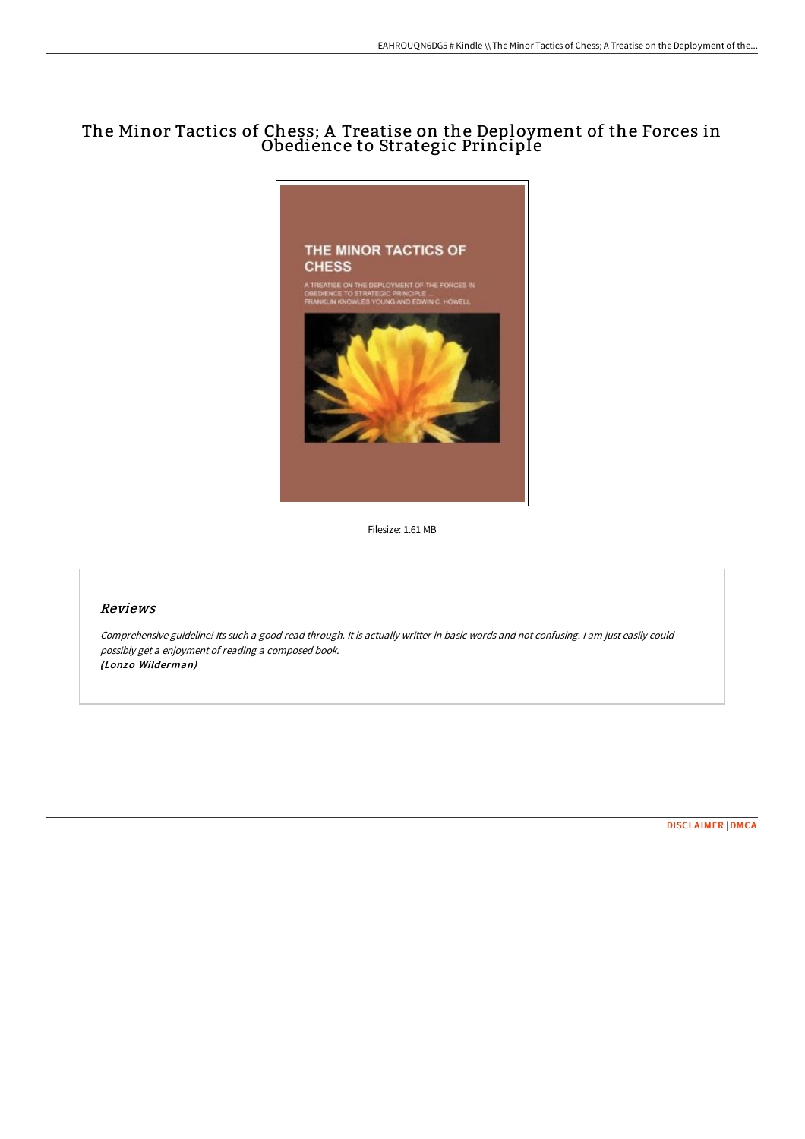# The Minor Tactics of Chess; A Treatise on the Deployment of the Forces in Obedience to Strategic Principle



Filesize: 1.61 MB

### Reviews

Comprehensive guideline! Its such <sup>a</sup> good read through. It is actually writter in basic words and not confusing. <sup>I</sup> am just easily could possibly get <sup>a</sup> enjoyment of reading <sup>a</sup> composed book. (Lonzo Wilderman)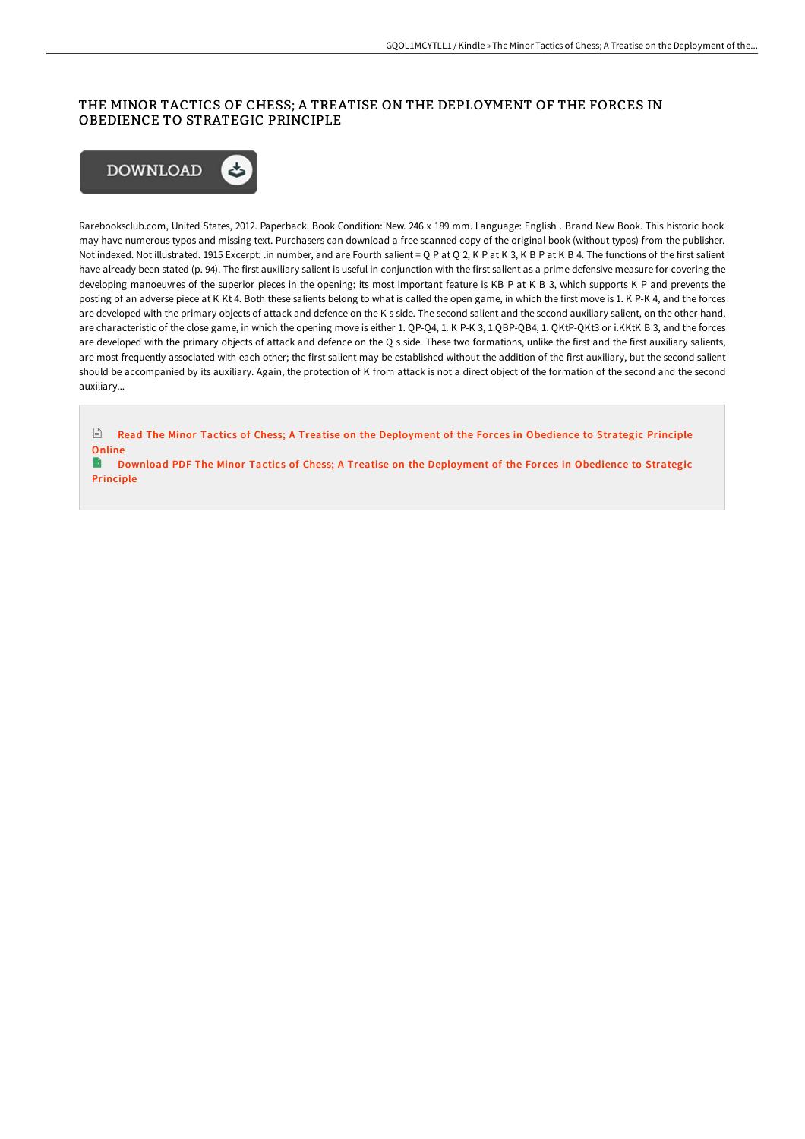## THE MINOR TACTICS OF CHESS; A TREATISE ON THE DEPLOYMENT OF THE FORCES IN OBEDIENCE TO STRATEGIC PRINCIPLE



Rarebooksclub.com, United States, 2012. Paperback. Book Condition: New. 246 x 189 mm. Language: English . Brand New Book. This historic book may have numerous typos and missing text. Purchasers can download a free scanned copy of the original book (without typos) from the publisher. Not indexed. Not illustrated. 1915 Excerpt: .in number, and are Fourth salient = Q P at Q 2, K P at K 3, K B P at K B 4. The functions of the first salient have already been stated (p. 94). The first auxiliary salient is useful in conjunction with the first salient as a prime defensive measure for covering the developing manoeuvres of the superior pieces in the opening; its most important feature is KB P at K B 3, which supports K P and prevents the posting of an adverse piece at K Kt 4. Both these salients belong to what is called the open game, in which the first move is 1. K P-K 4, and the forces are developed with the primary objects of attack and defence on the K s side. The second salient and the second auxiliary salient, on the other hand, are characteristic of the close game, in which the opening move is either 1. QP-Q4, 1. K P-K 3, 1.QBP-QB4, 1. QKtP-QKt3 or i.KKtK B 3, and the forces are developed with the primary objects of attack and defence on the Q s side. These two formations, unlike the first and the first auxiliary salients, are most frequently associated with each other; the first salient may be established without the addition of the first auxiliary, but the second salient should be accompanied by its auxiliary. Again, the protection of K from attack is not a direct object of the formation of the second and the second auxiliary...

 $\mathbb{R}$  Read The Minor Tactics of Chess; A Treatise on the [Deployment](http://digilib.live/the-minor-tactics-of-chess-a-treatise-on-the-dep.html) of the Forces in Obedience to Strategic Principle Online

В Download PDF The Minor Tactics of Chess; A Treatise on the [Deployment](http://digilib.live/the-minor-tactics-of-chess-a-treatise-on-the-dep.html) of the Forces in Obedience to Strategic Principle